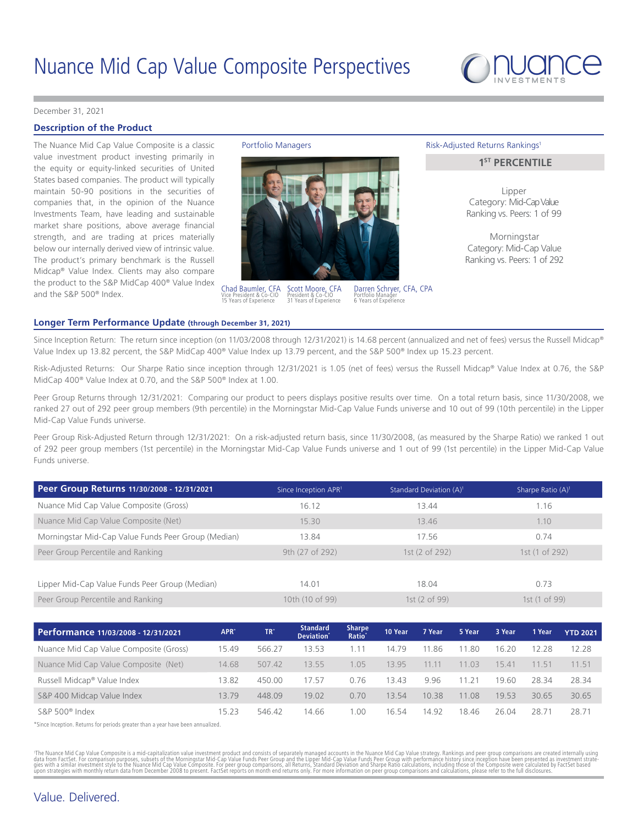

#### [December 31, 2021](DBF_DATE_EOM_FORMAL)

# **Description of the Product**

The Nuance Mid Cap Value Composite is a classic Portfolio Managers value investment product investing primarily in the equity or equity-linked securities of United States based companies. The product will typically maintain 50-90 positions in the securities of companies that, in the opinion of the Nuance Investments Team, have leading and sustainable market share positions, above average financial strength, and are trading at prices materially below our internally derived view of intrinsic value. The product's primary benchmark is the Russell Midcap® Value Index. Clients may also compare the product to the S&P MidCap 400® Value Index and the S&P 500® Index.



Scott Moore, CFA President & Co-CIO [31](DBF_YRS_EXPERIENCE_INV_SCOTT) Years of Experience Chad Baumler, CFA Vice President & Co-CIO [15](DBF_YRS_EXPERIENCE_INV_CHAD) Years of Experience

Darren Schryer, CFA, CPA Portfolio Manager [6](DBF_YRS_EXPERIENCE_NUANCE_DARREN) Years of Experience

#### Risk-Adjusted Returns Rankings<sup>1</sup>

## **1ST PERCENTILE**

Lipper Category: Mid-Cap Value Ranking vs. Peers: [1](DBF_PEER_SI_SHARPE_RANK_LIPPER_MID_MCVC) of [99](DBF_PEER_SI_SHARPE_NUM_PEERS_LIPPER_MID_CVC_MCVC)

Morningstar Category: Mid-Cap Value Ranking vs. Peers: [1](DBF_PEER_SI_SHARPE_RANK_MSTAR_MIDCV_MCVC) of [292](DBF_PEER_SI_SHARPE_NUM_PEERS_MSTAR_MIDCV_MCVC)

#### **Longer Term Performance Update (through [December 31, 2021](DBF_DATE_EOQ_FORMAL))**

Since Inception Return: The return since inception (on 11/03/2008 through 12/31/2021) is 14.68 percent (annualized and net of fees) versus the Russell Midcap® Value Index up 13.82 percent, the S&P MidCap 400® Value Index up 13.79 percent, and the S&P 500® Index up 15.23 percent.

Risk-Adjusted Returns: Our Sharpe Ratio since inception through 12/31/2021 is 1.05 (net of fees) versus the Russell Midcap® Value Index at 0.76, the S&P MidCap 400® Value Index at 0.70, and the S&P 500® Index at 1.00.

Peer Group Returns through 12/31/2021: Comparing our product to peers displays positive results over time. On a total return basis, since 11/30/2008, we ranked 27 out of 292 peer group members (9th percentile) in the Morningstar Mid-Cap Value Funds universe and 10 out of 99 (10th percentile) in the Lipper Mid-Cap Value Funds universe.

Peer Group Risk-Adjusted Return through 12/31/2021: On a risk-adjusted return basis, since 11/30/2008, (as measured by the Sharpe Ratio) we ranked 1 out of 292 peer group members (1st percentile) in the Morningstar Mid-Cap Value Funds universe and 1 out of 99 (1st percentile) in the Lipper Mid-Cap Value Funds universe.

| Standard Deviation (A) <sup>1</sup> | Sharpe Ratio (A) <sup>1</sup> |
|-------------------------------------|-------------------------------|
| 13.44                               | 1.16                          |
| 13.46                               | 1.10                          |
| 17.56                               | 0.74                          |
| 1st (2 of 292)                      | 1st (1 of 292)                |
|                                     |                               |
| 18.04                               | 0.73                          |
| 1st (2 of 99)                       | 1st (1 of 99)                 |
|                                     |                               |

| Performance 11/03/2008 - 12/31/2021    | APR <sup>*</sup> | TR'    | <b>Standard</b><br>Deviation <sup>*</sup> | <b>Sharpe</b><br><b>Ratio</b> | 10 Year | 7 Year | 5 Year | 3 Year | 1 Year | <b>YTD 2021</b> |
|----------------------------------------|------------------|--------|-------------------------------------------|-------------------------------|---------|--------|--------|--------|--------|-----------------|
| Nuance Mid Cap Value Composite (Gross) | 15.49            | 566.27 | 3.53                                      | $1.1^4$                       | 14.79   | 11.86  | 11.80  | 16.20  | 12.28  | 12.28           |
| Nuance Mid Cap Value Composite (Net)   | 14.68            | 507.42 | 13.55                                     | 1.05                          | 13.95   | 11.11  | 11 03  | 15.41  | 11.51  | 11.51           |
| Russell Midcap® Value Index            | 13.82            | 450.00 | 7.57                                      | 0.76                          | 13.43   | 9.96   | 11.2'  | 19.60  | 28.34  | 28.34           |
| S&P 400 Midcap Value Index             | 1379             | 448.09 | 19.02                                     | 0.70                          | 13.54   | 10.38  | 11 08  | 19.53  | 30.65  | 30.65           |
| $S\&P 500^{\circ}$ Index               | 1523             | 546.42 | 14 66                                     | .00                           | 16 54   | 14 92  | 18 46  | 26.04  | 28.71  | 28.71           |

\*Since Inception. Returns for periods greater than a year have been annualized.

'The Nuance Mid Cap Value Composite is a mid-capitalization value investment product and consists of separately managed accounts in the Nuance Mid Cap Value strategy. Rankings and peer group comparisons are created interna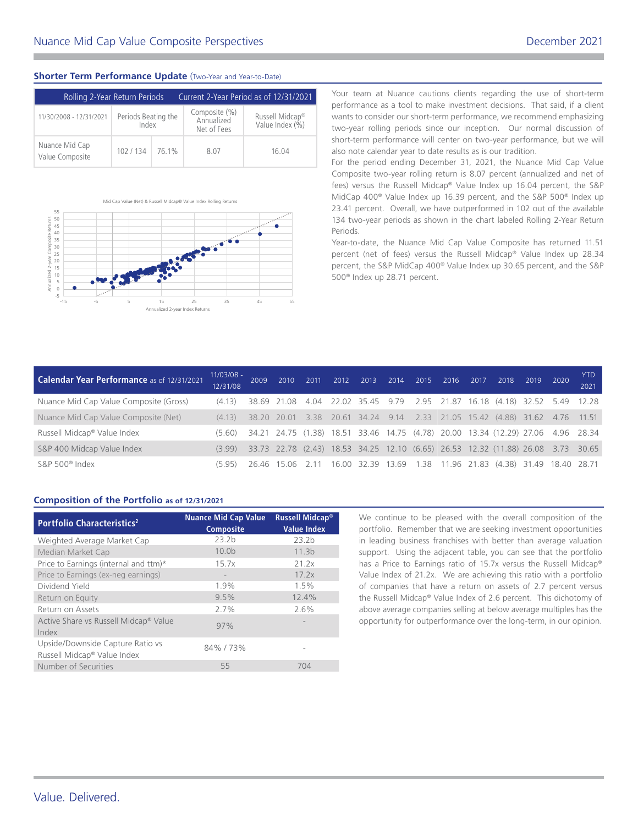# **Shorter Term Performance Update** (Two-Year and Year-to-Date)

| Rolling 2-Year Return Periods     |                              | Current 2-Year Period as of 12/31/2021 |                                            |                                                |  |  |  |
|-----------------------------------|------------------------------|----------------------------------------|--------------------------------------------|------------------------------------------------|--|--|--|
| 11/30/2008 - 12/31/2021           | Periods Beating the<br>Index |                                        | Composite (%)<br>Annualized<br>Net of Fees | Russell Midcap <sup>®</sup><br>Value Index (%) |  |  |  |
| Nuance Mid Cap<br>Value Composite | 102/134                      | 76.1%                                  | 8.07                                       | 16.04                                          |  |  |  |



performance as a tool to make investment decisions. That said, if a client wants to consider our short-term performance, we recommend emphasizing two-year rolling periods since our inception. Our normal discussion of short-term performance will center on two-year performance, but we will also note calendar year to date results as is our tradition.

Your team at Nuance cautions clients regarding the use of short-term

For the period ending December 31, 2021, the Nuance Mid Cap Value Composite two-year rolling return is 8.07 percent (annualized and net of fees) versus the Russell Midcap® Value Index up 16.04 percent, the S&P MidCap 400® Value Index up 16.39 percent, and the S&P 500® Index up 23.41 percent. Overall, we have outperformed in 102 out of the available 134 two-year periods as shown in the chart labeled Rolling 2-Year Return Periods.

Year-to-date, the Nuance Mid Cap Value Composite has returned 11.51 percent (net of fees) versus the Russell Midcap® Value Index up 28.34 percent, the S&P MidCap 400® Value Index up 30.65 percent, and the S&P 500® Index up 28.71 percent.

| Calendar Year Performance as of 12/31/2021 | $11/03/08 -$<br>12/31/08 | 2009 | 2010 | 2011 | 2012 | 2013 | 2014 | 2015 | 2016 | 2017 | 2018                                                                             | 2019 | 2020 | <b>YTD</b><br>2021 |
|--------------------------------------------|--------------------------|------|------|------|------|------|------|------|------|------|----------------------------------------------------------------------------------|------|------|--------------------|
| Nuance Mid Cap Value Composite (Gross)     | (4.13)                   |      |      |      |      |      |      |      |      |      | 38.69 21.08 4.04 22.02 35.45 9.79 2.95 21.87 16.18 (4.18) 32.52 5.49 12.28       |      |      |                    |
| Nuance Mid Cap Value Composite (Net)       | (4.13)                   |      |      |      |      |      |      |      |      |      | 38.20 20.01 3.38 20.61 34.24 9.14 2.33 21.05 15.42 (4.88) 31.62 4.76 11.51       |      |      |                    |
| Russell Midcap® Value Index                | (5.60)                   |      |      |      |      |      |      |      |      |      | 34.21 24.75 (1.38) 18.51 33.46 14.75 (4.78) 20.00 13.34 (12.29) 27.06 4.96 28.34 |      |      |                    |
| S&P 400 Midcap Value Index                 | (3.99)                   |      |      |      |      |      |      |      |      |      | 33.73 22.78 (2.43) 18.53 34.25 12.10 (6.65) 26.53 12.32 (11.88) 26.08 3.73 30.65 |      |      |                    |
| S&P 500® Index                             | (595)                    |      |      |      |      |      |      |      |      |      | 26.46 15.06 2.11 16.00 32.39 13.69 1.38 11.96 21.83 (4.38) 31.49 18.40 28.71     |      |      |                    |

# **Composition of the Portfolio as of [12/31/2021](DBF_DATE_EOM_SHORT)**

| <b>Portfolio Characteristics<sup>2</sup></b>                    | <b>Nuance Mid Cap Value</b><br>Composite | Russell Midcap <sup>®</sup><br><b>Value Index</b> |
|-----------------------------------------------------------------|------------------------------------------|---------------------------------------------------|
| Weighted Average Market Cap                                     | 23.2 <sub>b</sub>                        | 23.2 <sub>b</sub>                                 |
| Median Market Cap                                               | 10.0 <sub>b</sub>                        | 11.3 <sub>b</sub>                                 |
| Price to Earnings (internal and ttm)*                           | 15.7x                                    | 21.2x                                             |
| Price to Earnings (ex-neg earnings)                             |                                          | 17.2x                                             |
| Dividend Yield                                                  | 1.9%                                     | 1.5%                                              |
| Return on Equity                                                | 9.5%                                     | 12.4%                                             |
| Return on Assets                                                | 2.7%                                     | 2.6%                                              |
| Active Share vs Russell Midcap <sup>®</sup> Value<br>Index      | 97%                                      |                                                   |
| Upside/Downside Capture Ratio vs<br>Russell Midcap® Value Index | 84%/73%                                  |                                                   |
| Number of Securities                                            | 55                                       | 704                                               |

We continue to be pleased with the overall composition of the portfolio. Remember that we are seeking investment opportunities in leading business franchises with better than average valuation support. Using the adjacent table, you can see that the portfolio has a Price to Earnings ratio of 15.7x versus the Russell Midcap® Value Index of 21.2x. We are achieving this ratio with a portfolio of companies that have a return on assets of 2.7 percent versus the Russell Midcap® Value Index of 2.6 percent. This dichotomy of above average companies selling at below average multiples has the opportunity for outperformance over the long-term, in our opinion.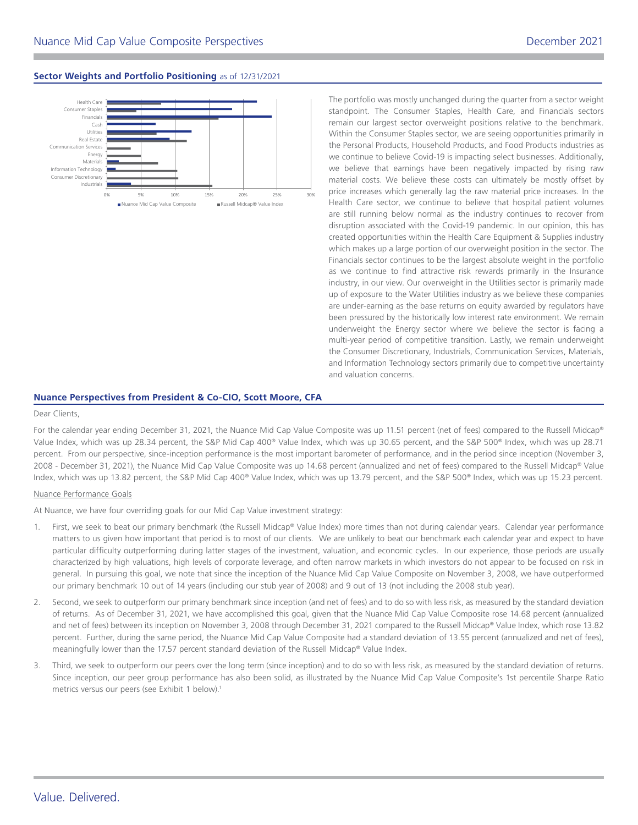# **Sector Weights and Portfolio Positioning** as of [12/31/2021](DBF_DATE_EOM_SHORT)



The portfolio was mostly unchanged during the quarter from a sector weight standpoint. The Consumer Staples, Health Care, and Financials sectors remain our largest sector overweight positions relative to the benchmark. Within the Consumer Staples sector, we are seeing opportunities primarily in the Personal Products, Household Products, and Food Products industries as we continue to believe Covid-19 is impacting select businesses. Additionally, we believe that earnings have been negatively impacted by rising raw material costs. We believe these costs can ultimately be mostly offset by price increases which generally lag the raw material price increases. In the Health Care sector, we continue to believe that hospital patient volumes are still running below normal as the industry continues to recover from disruption associated with the Covid-19 pandemic. In our opinion, this has created opportunities within the Health Care Equipment & Supplies industry which makes up a large portion of our overweight position in the sector. The Financials sector continues to be the largest absolute weight in the portfolio as we continue to find attractive risk rewards primarily in the Insurance industry, in our view. Our overweight in the Utilities sector is primarily made up of exposure to the Water Utilities industry as we believe these companies are under-earning as the base returns on equity awarded by regulators have been pressured by the historically low interest rate environment. We remain underweight the Energy sector where we believe the sector is facing a multi-year period of competitive transition. Lastly, we remain underweight the Consumer Discretionary, Industrials, Communication Services, Materials, and Information Technology sectors primarily due to competitive uncertainty and valuation concerns.

## **Nuance Perspectives from President & Co-CIO, Scott Moore, CFA**

#### Dear Clients,

For the calendar year ending December 31, 2021, the Nuance Mid Cap Value Composite was up 11.51 percent (net of fees) compared to the Russell Midcap® Value Index, which was up 28.34 percent, the S&P Mid Cap 400® Value Index, which was up 30.65 percent, and the S&P 500® Index, which was up 28.71 percent. From our perspective, since-inception performance is the most important barometer of performance, and in the period since inception (November 3, 2008 - December 31, 2021), the Nuance Mid Cap Value Composite was up 14.68 percent (annualized and net of fees) compared to the Russell Midcap® Value Index, which was up 13.82 percent, the S&P Mid Cap 400® Value Index, which was up 13.79 percent, and the S&P 500® Index, which was up 15.23 percent.

## Nuance Performance Goals

At Nuance, we have four overriding goals for our Mid Cap Value investment strategy:

- 1. First, we seek to beat our primary benchmark (the Russell Midcap® Value Index) more times than not during calendar years. Calendar year performance matters to us given how important that period is to most of our clients. We are unlikely to beat our benchmark each calendar year and expect to have particular difficulty outperforming during latter stages of the investment, valuation, and economic cycles. In our experience, those periods are usually characterized by high valuations, high levels of corporate leverage, and often narrow markets in which investors do not appear to be focused on risk in general. In pursuing this goal, we note that since the inception of the Nuance Mid Cap Value Composite on November 3, 2008, we have outperformed our primary benchmark 10 out of 14 years (including our stub year of 2008) and 9 out of 13 (not including the 2008 stub year).
- 2. Second, we seek to outperform our primary benchmark since inception (and net of fees) and to do so with less risk, as measured by the standard deviation of returns. As of December 31, 2021, we have accomplished this goal, given that the Nuance Mid Cap Value Composite rose 14.68 percent (annualized and net of fees) between its inception on November 3, 2008 through December 31, 2021 compared to the Russell Midcap® Value Index, which rose 13.82 percent. Further, during the same period, the Nuance Mid Cap Value Composite had a standard deviation of 13.55 percent (annualized and net of fees), meaningfully lower than the 17.57 percent standard deviation of the Russell Midcap® Value Index.
- 3. Third, we seek to outperform our peers over the long term (since inception) and to do so with less risk, as measured by the standard deviation of returns. Since inception, our peer group performance has also been solid, as illustrated by the Nuance Mid Cap Value Composite's 1st percentile Sharpe Ratio metrics versus our peers (see Exhibit 1 below).<sup>1</sup>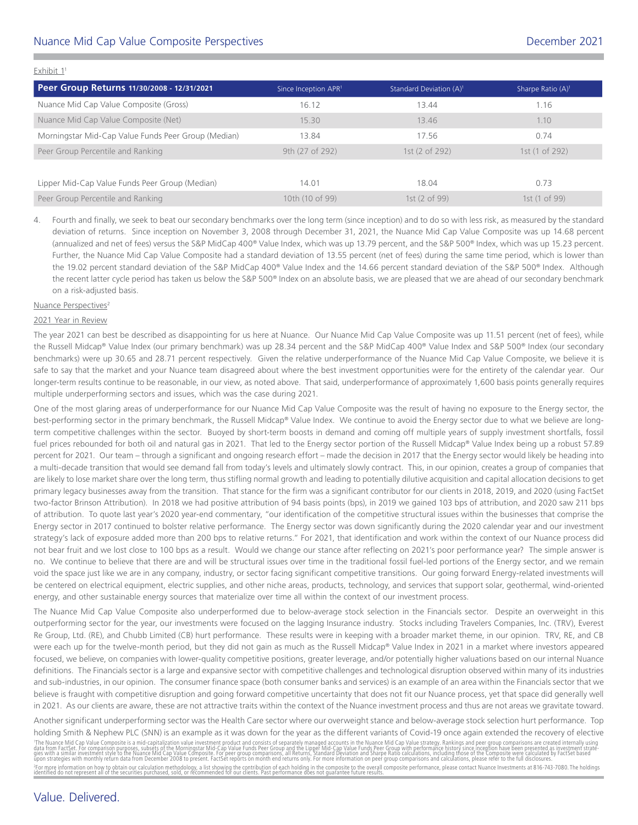# Nuance Mid Cap Value Composite Perspectives [December 2021](DBF_DATE_EOM_MONTH_YR)

| Peer Group Returns 11/30/2008 - 12/31/2021          | Since Inception APR <sup>1</sup> | Standard Deviation (A) <sup>1</sup> | Sharpe Ratio $(A)^1$ |
|-----------------------------------------------------|----------------------------------|-------------------------------------|----------------------|
| Nuance Mid Cap Value Composite (Gross)              | 16.12                            | 13.44                               | 1.16                 |
| Nuance Mid Cap Value Composite (Net)                | 15.30                            | 13.46                               | 1.10                 |
| Morningstar Mid-Cap Value Funds Peer Group (Median) | 13.84                            | 17.56                               | 0.74                 |
| Peer Group Percentile and Ranking                   | 9th (27 of 292)                  | 1st (2 of 292)                      | 1st (1 of 292)       |
|                                                     |                                  |                                     |                      |
| Lipper Mid-Cap Value Funds Peer Group (Median)      | 14.01                            | 18.04                               | 0.73                 |
| Peer Group Percentile and Ranking                   | 10th (10 of 99)                  | 1st (2 of 99)                       | 1st (1 of 99)        |

4. Fourth and finally, we seek to beat our secondary benchmarks over the long term (since inception) and to do so with less risk, as measured by the standard deviation of returns. Since inception on November 3, 2008 through December 31, 2021, the Nuance Mid Cap Value Composite was up 14.68 percent (annualized and net of fees) versus the S&P MidCap 400® Value Index, which was up 13.79 percent, and the S&P 500® Index, which was up 15.23 percent. Further, the Nuance Mid Cap Value Composite had a standard deviation of 13.55 percent (net of fees) during the same time period, which is lower than the 19.02 percent standard deviation of the S&P MidCap 400® Value Index and the 14.66 percent standard deviation of the S&P 500® Index. Although the recent latter cycle period has taken us below the S&P 500® Index on an absolute basis, we are pleased that we are ahead of our secondary benchmark on a risk-adjusted basis.

#### Nuance Perspectives<sup>2</sup>

Exhibit 11

## 2021 Year in Review

The year 2021 can best be described as disappointing for us here at Nuance. Our Nuance Mid Cap Value Composite was up 11.51 percent (net of fees), while the Russell Midcap® Value Index (our primary benchmark) was up 28.34 percent and the S&P MidCap 400® Value Index and S&P 500® Index (our secondary benchmarks) were up 30.65 and 28.71 percent respectively. Given the relative underperformance of the Nuance Mid Cap Value Composite, we believe it is safe to say that the market and your Nuance team disagreed about where the best investment opportunities were for the entirety of the calendar year. Our longer-term results continue to be reasonable, in our view, as noted above. That said, underperformance of approximately 1,600 basis points generally requires multiple underperforming sectors and issues, which was the case during 2021.

One of the most glaring areas of underperformance for our Nuance Mid Cap Value Composite was the result of having no exposure to the Energy sector, the best-performing sector in the primary benchmark, the Russell Midcap® Value Index. We continue to avoid the Energy sector due to what we believe are longterm competitive challenges within the sector. Buoyed by short-term boosts in demand and coming off multiple years of supply investment shortfalls, fossil fuel prices rebounded for both oil and natural gas in 2021. That led to the Energy sector portion of the Russell Midcap® Value Index being up a robust 57.89 percent for 2021. Our team – through a significant and ongoing research effort – made the decision in 2017 that the Energy sector would likely be heading into a multi-decade transition that would see demand fall from today's levels and ultimately slowly contract. This, in our opinion, creates a group of companies that are likely to lose market share over the long term, thus stifling normal growth and leading to potentially dilutive acquisition and capital allocation decisions to get primary legacy businesses away from the transition. That stance for the firm was a significant contributor for our clients in 2018, 2019, and 2020 (using FactSet two-factor Brinson Attribution). In 2018 we had positive attribution of 94 basis points (bps), in 2019 we gained 103 bps of attribution, and 2020 saw 211 bps of attribution. To quote last year's 2020 year-end commentary, "our identification of the competitive structural issues within the businesses that comprise the Energy sector in 2017 continued to bolster relative performance. The Energy sector was down significantly during the 2020 calendar year and our investment strategy's lack of exposure added more than 200 bps to relative returns." For 2021, that identification and work within the context of our Nuance process did not bear fruit and we lost close to 100 bps as a result. Would we change our stance after reflecting on 2021's poor performance year? The simple answer is no. We continue to believe that there are and will be structural issues over time in the traditional fossil fuel-led portions of the Energy sector, and we remain void the space just like we are in any company, industry, or sector facing significant competitive transitions. Our going forward Energy-related investments will be centered on electrical equipment, electric supplies, and other niche areas, products, technology, and services that support solar, geothermal, wind-oriented energy, and other sustainable energy sources that materialize over time all within the context of our investment process.

The Nuance Mid Cap Value Composite also underperformed due to below-average stock selection in the Financials sector. Despite an overweight in this outperforming sector for the year, our investments were focused on the lagging Insurance industry. Stocks including Travelers Companies, Inc. (TRV), Everest Re Group, Ltd. (RE), and Chubb Limited (CB) hurt performance. These results were in keeping with a broader market theme, in our opinion. TRV, RE, and CB were each up for the twelve-month period, but they did not gain as much as the Russell Midcap® Value Index in 2021 in a market where investors appeared focused, we believe, on companies with lower-quality competitive positions, greater leverage, and/or potentially higher valuations based on our internal Nuance definitions. The Financials sector is a large and expansive sector with competitive challenges and technological disruption observed within many of its industries and sub-industries, in our opinion. The consumer finance space (both consumer banks and services) is an example of an area within the Financials sector that we believe is fraught with competitive disruption and going forward competitive uncertainty that does not fit our Nuance process, yet that space did generally well in 2021. As our clients are aware, these are not attractive traits within the context of the Nuance investment process and thus are not areas we gravitate toward.

Another significant underperforming sector was the Health Care sector where our overweight stance and below-average stock selection hurt performance. Top holding Smith & Nephew PLC (SNN) is an example as it was down for the year as the different variants of Covid-19 once again extended the recovery of elective

'The Nuance Mid Cap Value Composite is a mid-capitalization value investment product and consists of separately manged accounts in the Nuance Mid-Cap Value Funds Pearl on the Schemen scheme in the funds of the search of th <sup>2</sup>For more information on how to obtain our calculation methodology, a list showing the contribution of each holding in the composite to the overall composite performance, please contact Nuance Investments at 816-743-7080

# Value. Delivered.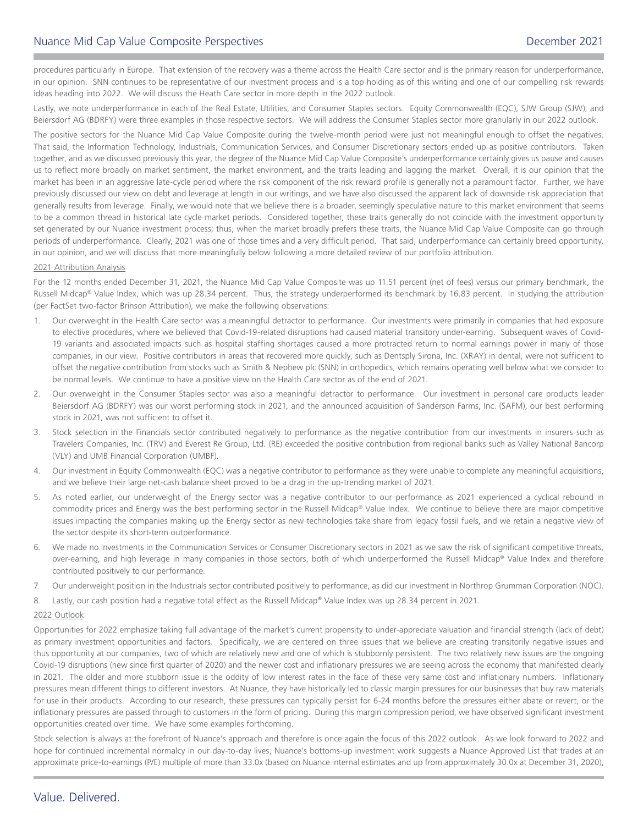procedures particularly in Europe. That extension of the recovery was a theme across the Health Care sector and is the primary reason for underperformance, in our opinion. SNN continues to be representative of our investment process and is a top holding as of this writing and one of our compelling risk rewards ideas heading into 2022. We will discuss the Heath Care sector in more depth in the 2022 outlook.

Lastly, we note underperformance in each of the Real Estate, Utilities, and Consumer Staples sectors. Equity Commonwealth (EQC), SJW Group (SJW), and Beiersdorf AG (BDRFY) were three examples in those respective sectors. We will address the Consumer Staples sector more granularly in our 2022 outlook.

The positive sectors for the Nuance Mid Cap Value Composite during the twelve-month period were just not meaningful enough to offset the negatives. That said, the Information Technology, Industrials, Communication Services, and Consumer Discretionary sectors ended up as positive contributors. Taken together, and as we discussed previously this year, the degree of the Nuance Mid Cap Value Composite's underperformance certainly gives us pause and causes us to reflect more broadly on market sentiment, the market environment, and the traits leading and lagging the market. Overall, it is our opinion that the market has been in an aggressive late-cycle period where the risk component of the risk reward profile is generally not a paramount factor. Further, we have previously discussed our view on debt and leverage at length in our writings, and we have also discussed the apparent lack of downside risk appreciation that generally results from leverage. Finally, we would note that we believe there is a broader, seemingly speculative nature to this market environment that seems to be a common thread in historical late cycle market periods. Considered together, these traits generally do not coincide with the investment opportunity set generated by our Nuance investment process; thus, when the market broadly prefers these traits, the Nuance Mid Cap Value Composite can go through periods of underperformance. Clearly, 2021 was one of those times and a very difficult period. That said, underperformance can certainly breed opportunity, in our opinion, and we will discuss that more meaningfully below following a more detailed review of our portfolio attribution.

## 2021 Attribution Analysis

For the 12 months ended December 31, 2021, the Nuance Mid Cap Value Composite was up 11.51 percent (net of fees) versus our primary benchmark, the Russell Midcap® Value Index, which was up 28.34 percent. Thus, the strategy underperformed its benchmark by 16.83 percent. In studying the attribution (per FactSet two-factor Brinson Attribution), we make the following observations:

- 1. Our overweight in the Health Care sector was a meaningful detractor to performance. Our investments were primarily in companies that had exposure to elective procedures, where we believed that Covid-19-related disruptions had caused material transitory under-earning. Subsequent waves of Covid-19 variants and associated impacts such as hospital staffing shortages caused a more protracted return to normal earnings power in many of those companies, in our view. Positive contributors in areas that recovered more quickly, such as Dentsply Sirona, Inc. (XRAY) in dental, were not sufficient to offset the negative contribution from stocks such as Smith & Nephew plc (SNN) in orthopedics, which remains operating well below what we consider to be normal levels. We continue to have a positive view on the Health Care sector as of the end of 2021.
- 2. Our overweight in the Consumer Staples sector was also a meaningful detractor to performance. Our investment in personal care products leader Beiersdorf AG (BDRFY) was our worst performing stock in 2021, and the announced acquisition of Sanderson Farms, Inc. (SAFM), our best performing stock in 2021, was not sufficient to offset it.
- 3. Stock selection in the Financials sector contributed negatively to performance as the negative contribution from our investments in insurers such as Travelers Companies, Inc. (TRV) and Everest Re Group, Ltd. (RE) exceeded the positive contribution from regional banks such as Valley National Bancorp (VLY) and UMB Financial Corporation (UMBF).
- 4. Our investment in Equity Commonwealth (EQC) was a negative contributor to performance as they were unable to complete any meaningful acquisitions, and we believe their large net-cash balance sheet proved to be a drag in the up-trending market of 2021.
- 5. As noted earlier, our underweight of the Energy sector was a negative contributor to our performance as 2021 experienced a cyclical rebound in commodity prices and Energy was the best performing sector in the Russell Midcap® Value Index. We continue to believe there are major competitive issues impacting the companies making up the Energy sector as new technologies take share from legacy fossil fuels, and we retain a negative view of the sector despite its short-term outperformance.
- 6. We made no investments in the Communication Services or Consumer Discretionary sectors in 2021 as we saw the risk of significant competitive threats, over-earning, and high leverage in many companies in those sectors, both of which underperformed the Russell Midcap® Value Index and therefore contributed positively to our performance.
- 7. Our underweight position in the Industrials sector contributed positively to performance, as did our investment in Northrop Grumman Corporation (NOC).

8. Lastly, our cash position had a negative total effect as the Russell Midcap® Value Index was up 28.34 percent in 2021.

## 2022 Outlook

Opportunities for 2022 emphasize taking full advantage of the market's current propensity to under-appreciate valuation and financial strength (lack of debt) as primary investment opportunities and factors. Specifically, we are centered on three issues that we believe are creating transitorily negative issues and thus opportunity at our companies, two of which are relatively new and one of which is stubbornly persistent. The two relatively new issues are the ongoing Covid-19 disruptions (new since first quarter of 2020) and the newer cost and inflationary pressures we are seeing across the economy that manifested clearly in 2021. The older and more stubborn issue is the oddity of low interest rates in the face of these very same cost and inflationary numbers. Inflationary pressures mean different things to different investors. At Nuance, they have historically led to classic margin pressures for our businesses that buy raw materials for use in their products. According to our research, these pressures can typically persist for 6-24 months before the pressures either abate or revert, or the inflationary pressures are passed through to customers in the form of pricing. During this margin compression period, we have observed significant investment opportunities created over time. We have some examples forthcoming.

Stock selection is always at the forefront of Nuance's approach and therefore is once again the focus of this 2022 outlook. As we look forward to 2022 and hope for continued incremental normalcy in our day-to-day lives, Nuance's bottoms-up investment work suggests a Nuance Approved List that trades at an approximate price-to-earnings (P/E) multiple of more than 33.0x (based on Nuance internal estimates and up from approximately 30.0x at December 31, 2020),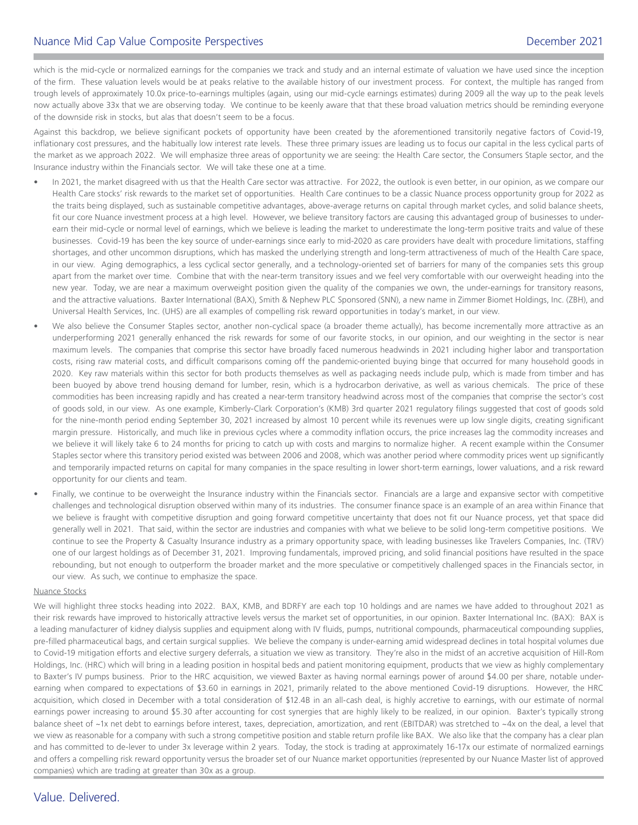# Nuance Mid Cap Value Composite Perspectives [December 2021](DBF_DATE_EOM_MONTH_YR)

which is the mid-cycle or normalized earnings for the companies we track and study and an internal estimate of valuation we have used since the inception of the firm. These valuation levels would be at peaks relative to the available history of our investment process. For context, the multiple has ranged from trough levels of approximately 10.0x price-to-earnings multiples (again, using our mid-cycle earnings estimates) during 2009 all the way up to the peak levels now actually above 33x that we are observing today. We continue to be keenly aware that that these broad valuation metrics should be reminding everyone of the downside risk in stocks, but alas that doesn't seem to be a focus.

Against this backdrop, we believe significant pockets of opportunity have been created by the aforementioned transitorily negative factors of Covid-19, inflationary cost pressures, and the habitually low interest rate levels. These three primary issues are leading us to focus our capital in the less cyclical parts of the market as we approach 2022. We will emphasize three areas of opportunity we are seeing: the Health Care sector, the Consumers Staple sector, and the Insurance industry within the Financials sector. We will take these one at a time.

- In 2021, the market disagreed with us that the Health Care sector was attractive. For 2022, the outlook is even better, in our opinion, as we compare our Health Care stocks' risk rewards to the market set of opportunities. Health Care continues to be a classic Nuance process opportunity group for 2022 as the traits being displayed, such as sustainable competitive advantages, above-average returns on capital through market cycles, and solid balance sheets, fit our core Nuance investment process at a high level. However, we believe transitory factors are causing this advantaged group of businesses to underearn their mid-cycle or normal level of earnings, which we believe is leading the market to underestimate the long-term positive traits and value of these businesses. Covid-19 has been the key source of under-earnings since early to mid-2020 as care providers have dealt with procedure limitations, staffing shortages, and other uncommon disruptions, which has masked the underlying strength and long-term attractiveness of much of the Health Care space, in our view. Aging demographics, a less cyclical sector generally, and a technology-oriented set of barriers for many of the companies sets this group apart from the market over time. Combine that with the near-term transitory issues and we feel very comfortable with our overweight heading into the new year. Today, we are near a maximum overweight position given the quality of the companies we own, the under-earnings for transitory reasons, and the attractive valuations. Baxter International (BAX), Smith & Nephew PLC Sponsored (SNN), a new name in Zimmer Biomet Holdings, Inc. (ZBH), and Universal Health Services, Inc. (UHS) are all examples of compelling risk reward opportunities in today's market, in our view.
- We also believe the Consumer Staples sector, another non-cyclical space (a broader theme actually), has become incrementally more attractive as an underperforming 2021 generally enhanced the risk rewards for some of our favorite stocks, in our opinion, and our weighting in the sector is near maximum levels. The companies that comprise this sector have broadly faced numerous headwinds in 2021 including higher labor and transportation costs, rising raw material costs, and difficult comparisons coming off the pandemic-oriented buying binge that occurred for many household goods in 2020. Key raw materials within this sector for both products themselves as well as packaging needs include pulp, which is made from timber and has been buoyed by above trend housing demand for lumber, resin, which is a hydrocarbon derivative, as well as various chemicals. The price of these commodities has been increasing rapidly and has created a near-term transitory headwind across most of the companies that comprise the sector's cost of goods sold, in our view. As one example, Kimberly-Clark Corporation's (KMB) 3rd quarter 2021 regulatory filings suggested that cost of goods sold for the nine-month period ending September 30, 2021 increased by almost 10 percent while its revenues were up low single digits, creating significant margin pressure. Historically, and much like in previous cycles where a commodity inflation occurs, the price increases lag the commodity increases and we believe it will likely take 6 to 24 months for pricing to catch up with costs and margins to normalize higher. A recent example within the Consumer Staples sector where this transitory period existed was between 2006 and 2008, which was another period where commodity prices went up significantly and temporarily impacted returns on capital for many companies in the space resulting in lower short-term earnings, lower valuations, and a risk reward opportunity for our clients and team.
- Finally, we continue to be overweight the Insurance industry within the Financials sector. Financials are a large and expansive sector with competitive challenges and technological disruption observed within many of its industries. The consumer finance space is an example of an area within Finance that we believe is fraught with competitive disruption and going forward competitive uncertainty that does not fit our Nuance process, yet that space did generally well in 2021. That said, within the sector are industries and companies with what we believe to be solid long-term competitive positions. We continue to see the Property & Casualty Insurance industry as a primary opportunity space, with leading businesses like Travelers Companies, Inc. (TRV) one of our largest holdings as of December 31, 2021. Improving fundamentals, improved pricing, and solid financial positions have resulted in the space rebounding, but not enough to outperform the broader market and the more speculative or competitively challenged spaces in the Financials sector, in our view. As such, we continue to emphasize the space.

## Nuance Stocks

We will highlight three stocks heading into 2022. BAX, KMB, and BDRFY are each top 10 holdings and are names we have added to throughout 2021 as their risk rewards have improved to historically attractive levels versus the market set of opportunities, in our opinion. Baxter International Inc. (BAX): BAX is a leading manufacturer of kidney dialysis supplies and equipment along with IV fluids, pumps, nutritional compounds, pharmaceutical compounding supplies, pre-filled pharmaceutical bags, and certain surgical supplies. We believe the company is under-earning amid widespread declines in total hospital volumes due to Covid-19 mitigation efforts and elective surgery deferrals, a situation we view as transitory. They're also in the midst of an accretive acquisition of Hill-Rom Holdings, Inc. (HRC) which will bring in a leading position in hospital beds and patient monitoring equipment, products that we view as highly complementary to Baxter's IV pumps business. Prior to the HRC acquisition, we viewed Baxter as having normal earnings power of around \$4.00 per share, notable underearning when compared to expectations of \$3.60 in earnings in 2021, primarily related to the above mentioned Covid-19 disruptions. However, the HRC acquisition, which closed in December with a total consideration of \$12.4B in an all-cash deal, is highly accretive to earnings, with our estimate of normal earnings power increasing to around \$5.30 after accounting for cost synergies that are highly likely to be realized, in our opinion. Baxter's typically strong balance sheet of ~1x net debt to earnings before interest, taxes, depreciation, amortization, and rent (EBITDAR) was stretched to ~4x on the deal, a level that we view as reasonable for a company with such a strong competitive position and stable return profile like BAX. We also like that the company has a clear plan and has committed to de-lever to under 3x leverage within 2 years. Today, the stock is trading at approximately 16-17x our estimate of normalized earnings and offers a compelling risk reward opportunity versus the broader set of our Nuance market opportunities (represented by our Nuance Master list of approved companies) which are trading at greater than 30x as a group.

# Value. Delivered.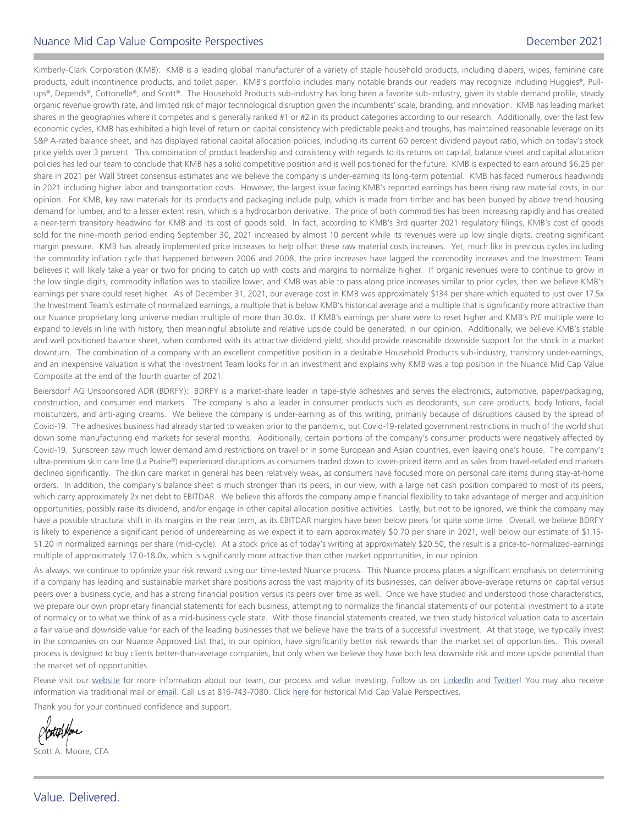# Nuance Mid Cap Value Composite Perspectives [December 2021](DBF_DATE_EOM_MONTH_YR)

Kimberly-Clark Corporation (KMB): KMB is a leading global manufacturer of a variety of staple household products, including diapers, wipes, feminine care products, adult incontinence products, and toilet paper. KMB's portfolio includes many notable brands our readers may recognize including Huggies®, Pullups®, Depends®, Cottonelle®, and Scott®. The Household Products sub-industry has long been a favorite sub-industry, given its stable demand profile, steady organic revenue growth rate, and limited risk of major technological disruption given the incumbents' scale, branding, and innovation. KMB has leading market shares in the geographies where it competes and is generally ranked #1 or #2 in its product categories according to our research. Additionally, over the last few economic cycles, KMB has exhibited a high level of return on capital consistency with predictable peaks and troughs, has maintained reasonable leverage on its S&P A-rated balance sheet, and has displayed rational capital allocation policies, including its current 60 percent dividend payout ratio, which on today's stock price yields over 3 percent. This combination of product leadership and consistency with regards to its returns on capital, balance sheet and capital allocation policies has led our team to conclude that KMB has a solid competitive position and is well positioned for the future. KMB is expected to earn around \$6.25 per share in 2021 per Wall Street consensus estimates and we believe the company is under-earning its long-term potential. KMB has faced numerous headwinds in 2021 including higher labor and transportation costs. However, the largest issue facing KMB's reported earnings has been rising raw material costs, in our opinion. For KMB, key raw materials for its products and packaging include pulp, which is made from timber and has been buoyed by above trend housing demand for lumber, and to a lesser extent resin, which is a hydrocarbon derivative. The price of both commodities has been increasing rapidly and has created a near-term transitory headwind for KMB and its cost of goods sold. In fact, according to KMB's 3rd quarter 2021 regulatory filings, KMB's cost of goods sold for the nine-month period ending September 30, 2021 increased by almost 10 percent while its revenues were up low single digits, creating significant margin pressure. KMB has already implemented price increases to help offset these raw material costs increases. Yet, much like in previous cycles including the commodity inflation cycle that happened between 2006 and 2008, the price increases have lagged the commodity increases and the Investment Team believes it will likely take a year or two for pricing to catch up with costs and margins to normalize higher. If organic revenues were to continue to grow in the low single digits, commodity inflation was to stabilize lower, and KMB was able to pass along price increases similar to prior cycles, then we believe KMB's earnings per share could reset higher. As of December 31, 2021, our average cost in KMB was approximately \$134 per share which equated to just over 17.5x the Investment Team's estimate of normalized earnings, a multiple that is below KMB's historical average and a multiple that is significantly more attractive than our Nuance proprietary long universe median multiple of more than 30.0x. If KMB's earnings per share were to reset higher and KMB's P/E multiple were to expand to levels in line with history, then meaningful absolute and relative upside could be generated, in our opinion. Additionally, we believe KMB's stable and well positioned balance sheet, when combined with its attractive dividend yield, should provide reasonable downside support for the stock in a market downturn. The combination of a company with an excellent competitive position in a desirable Household Products sub-industry, transitory under-earnings, and an inexpensive valuation is what the Investment Team looks for in an investment and explains why KMB was a top position in the Nuance Mid Cap Value Composite at the end of the fourth quarter of 2021.

Beiersdorf AG Unsponsored ADR (BDRFY): BDRFY is a market-share leader in tape-style adhesives and serves the electronics, automotive, paper/packaging, construction, and consumer end markets. The company is also a leader in consumer products such as deodorants, sun care products, body lotions, facial moisturizers, and anti-aging creams. We believe the company is under-earning as of this writing, primarily because of disruptions caused by the spread of Covid-19. The adhesives business had already started to weaken prior to the pandemic, but Covid-19-related government restrictions in much of the world shut down some manufacturing end markets for several months. Additionally, certain portions of the company's consumer products were negatively affected by Covid-19. Sunscreen saw much lower demand amid restrictions on travel or in some European and Asian countries, even leaving one's house. The company's ultra-premium skin care line (La Prairie®) experienced disruptions as consumers traded down to lower-priced items and as sales from travel-related end markets declined significantly. The skin care market in general has been relatively weak, as consumers have focused more on personal care items during stay-at-home orders. In addition, the company's balance sheet is much stronger than its peers, in our view, with a large net cash position compared to most of its peers, which carry approximately 2x net debt to EBITDAR. We believe this affords the company ample financial flexibility to take advantage of merger and acquisition opportunities, possibly raise its dividend, and/or engage in other capital allocation positive activities. Lastly, but not to be ignored, we think the company may have a possible structural shift in its margins in the near term, as its EBITDAR margins have been below peers for quite some time. Overall, we believe BDRFY is likely to experience a significant period of underearning as we expect it to earn approximately \$0.70 per share in 2021, well below our estimate of \$1.15- \$1.20 in normalized earnings per share (mid-cycle). At a stock price as of today's writing at approximately \$20.50, the result is a price-to-normalized-earnings multiple of approximately 17.0-18.0x, which is significantly more attractive than other market opportunities, in our opinion.

As always, we continue to optimize your risk reward using our time-tested Nuance process. This Nuance process places a significant emphasis on determining if a company has leading and sustainable market share positions across the vast majority of its businesses, can deliver above-average returns on capital versus peers over a business cycle, and has a strong financial position versus its peers over time as well. Once we have studied and understood those characteristics, we prepare our own proprietary financial statements for each business, attempting to normalize the financial statements of our potential investment to a state of normalcy or to what we think of as a mid-business cycle state. With those financial statements created, we then study historical valuation data to ascertain a fair value and downside value for each of the leading businesses that we believe have the traits of a successful investment. At that stage, we typically invest in the companies on our Nuance Approved List that, in our opinion, have significantly better risk rewards than the market set of opportunities. This overall process is designed to buy clients better-than-average companies, but only when we believe they have both less downside risk and more upside potential than the market set of opportunities.

Please visit our [website](https://www.nuanceinvestments.com/) for more information about our team, our process and value investing. Follow us on [LinkedIn](https://www.linkedin.com/company/nuance-investments-llc) and [Twitter](https://twitter.com/NuanceInvest)! You may also receive information via traditional mail or [email](mailto:client.services%40nuanceinvestments.com?subject=). Call us at 816-743-7080. Click [here](https://www.nuanceinvestments.com/mid-cap-value/commentary.php) for historical Mid Cap Value Perspectives.

Thank you for your continued confidence and support.

Scott A. Moore, CFA